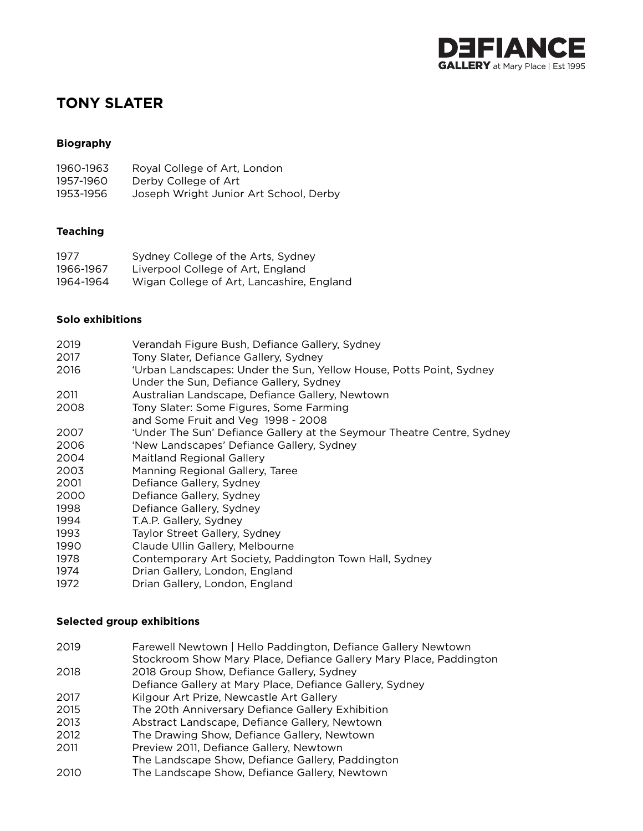

# **TONY SLATER**

## **Biography**

| 1960-1963 | Royal College of Art, London           |
|-----------|----------------------------------------|
| 1957-1960 | Derby College of Art                   |
| 1953-1956 | Joseph Wright Junior Art School, Derby |

#### **Teaching**

| 1977      | Sydney College of the Arts, Sydney        |
|-----------|-------------------------------------------|
| 1966-1967 | Liverpool College of Art, England         |
| 1964-1964 | Wigan College of Art, Lancashire, England |

#### **Solo exhibitions**

| 2019 | Verandah Figure Bush, Defiance Gallery, Sydney                         |
|------|------------------------------------------------------------------------|
| 2017 | Tony Slater, Defiance Gallery, Sydney                                  |
| 2016 | 'Urban Landscapes: Under the Sun, Yellow House, Potts Point, Sydney    |
|      | Under the Sun, Defiance Gallery, Sydney                                |
| 2011 | Australian Landscape, Defiance Gallery, Newtown                        |
| 2008 | Tony Slater: Some Figures, Some Farming                                |
|      | and Some Fruit and Veg 1998 - 2008                                     |
| 2007 | 'Under The Sun' Defiance Gallery at the Seymour Theatre Centre, Sydney |
| 2006 | 'New Landscapes' Defiance Gallery, Sydney                              |
| 2004 | <b>Maitland Regional Gallery</b>                                       |
| 2003 | Manning Regional Gallery, Taree                                        |
| 2001 | Defiance Gallery, Sydney                                               |
| 2000 | Defiance Gallery, Sydney                                               |
| 1998 | Defiance Gallery, Sydney                                               |
| 1994 | T.A.P. Gallery, Sydney                                                 |
| 1993 | Taylor Street Gallery, Sydney                                          |
| 1990 | Claude Ullin Gallery, Melbourne                                        |
| 1978 | Contemporary Art Society, Paddington Town Hall, Sydney                 |
| 1974 | Drian Gallery, London, England                                         |
| 1972 | Drian Gallery, London, England                                         |

### **Selected group exhibitions**

| 2019 | Farewell Newtown   Hello Paddington, Defiance Gallery Newtown      |
|------|--------------------------------------------------------------------|
|      | Stockroom Show Mary Place, Defiance Gallery Mary Place, Paddington |
| 2018 | 2018 Group Show, Defiance Gallery, Sydney                          |
|      | Defiance Gallery at Mary Place, Defiance Gallery, Sydney           |
| 2017 | Kilgour Art Prize, Newcastle Art Gallery                           |
| 2015 | The 20th Anniversary Defiance Gallery Exhibition                   |
| 2013 | Abstract Landscape, Defiance Gallery, Newtown                      |
| 2012 | The Drawing Show, Defiance Gallery, Newtown                        |
| 2011 | Preview 2011, Defiance Gallery, Newtown                            |
|      | The Landscape Show, Defiance Gallery, Paddington                   |
| 2010 | The Landscape Show, Defiance Gallery, Newtown                      |